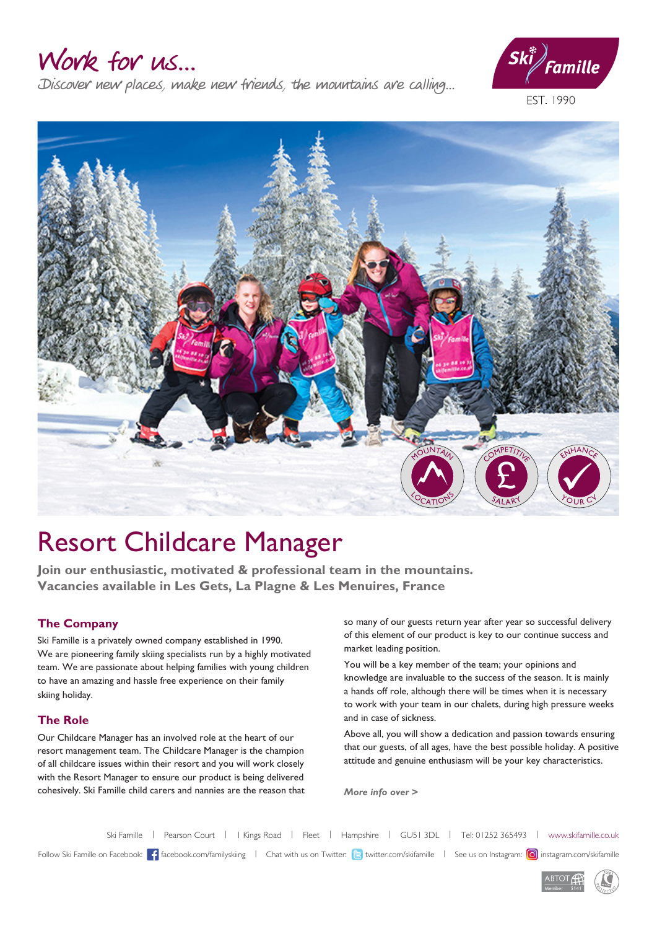### Work for us...

Discover new places, make new friends, the mountains are calling...



EST. 1990



## Resort Childcare Manager

**Join our enthusiastic, motivated & professional team in the mountains. Vacancies available in Les Gets, La Plagne & Les Menuires, France**

#### **The Company**

Ski Famille is a privately owned company established in 1990. We are pioneering family skiing specialists run by a highly motivated team. We are passionate about helping families with young children to have an amazing and hassle free experience on their family skiing holiday.

#### **The Role**

Our Childcare Manager has an involved role at the heart of our resort management team. The Childcare Manager is the champion of all childcare issues within their resort and you will work closely with the Resort Manager to ensure our product is being delivered cohesively. Ski Famille child carers and nannies are the reason that so many of our guests return year after year so successful delivery of this element of our product is key to our continue success and market leading position.

You will be a key member of the team; your opinions and knowledge are invaluable to the success of the season. It is mainly a hands off role, although there will be times when it is necessary to work with your team in our chalets, during high pressure weeks and in case of sickness.

Above all, you will show a dedication and passion towards ensuring that our guests, of all ages, have the best possible holiday. A positive attitude and genuine enthusiasm will be your key characteristics.

*More info over >*

Ski Famille | Pearson Court | I Kings Road | Fleet | Hampshire | GU51 3DL | Tel: 01252 365493 | www.skifamille.co.uk Follow Ski Famille on Facebook: facebook.com/familyskiing | Chat with us on Twitter: <a>|<a>|</a></a>|</a></a>|</a></a>|</a></a>|</a></a>|</a></a>|</a></a>|</a></a>|</a></a></a></a>|</a></a></a></a></a>|</a></a></a></a></a